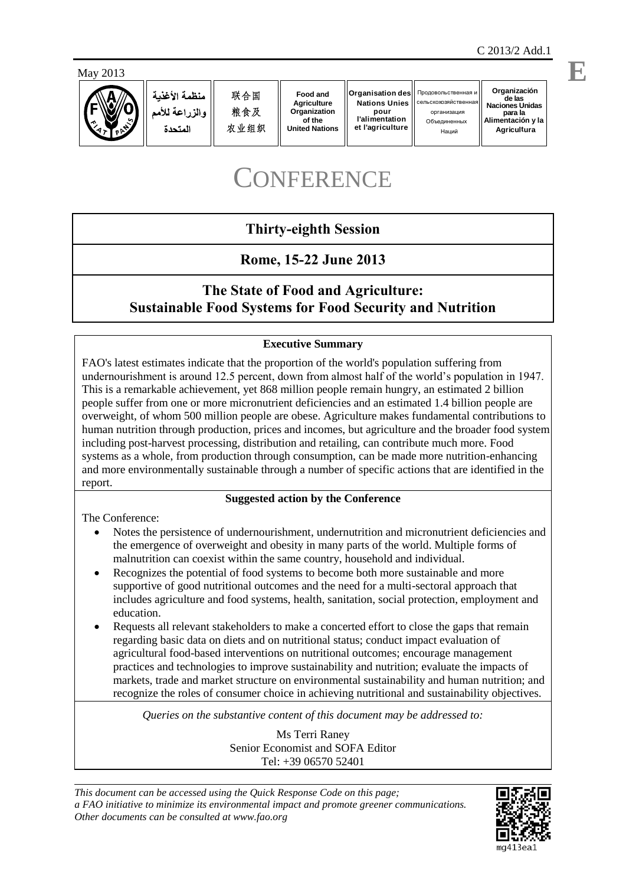

 $\overline{a}$ 



منظمة الأغذبة والزراعة للأمم المتحدة

联合国 粮食及 农业组织

**Food and Agriculture Organization of the United Nations**

**Organisation des Nations Unies pour l'alimentation et l'agriculture**

О бъединенных Наций Продовольственная и cельскохозяйствен

**Organización de las Naciones Unidas** организация **para la Alimentación y la Agricultura**

# **CONFERENCE**

# **Thirty-eighth Session**

# **Rome, 15-22 June 2013**

# **The State of Food and Agriculture: Sustainable Food Systems for Food Security and Nutrition**

## **Executive Summary**

FAO's latest estimates indicate that the proportion of the world's population suffering from undernourishment is around 12.5 percent, down from almost half of the world's population in 1947. This is a remarkable achievement, yet 868 million people remain hungry, an estimated 2 billion people suffer from one or more micronutrient deficiencies and an estimated 1.4 billion people are overweight, of whom 500 million people are obese. Agriculture makes fundamental contributions to human nutrition through production, prices and incomes, but agriculture and the broader food system including post-harvest processing, distribution and retailing, can contribute much more. Food systems as a whole, from production through consumption, can be made more nutrition-enhancing and more environmentally sustainable through a number of specific actions that are identified in the report.

#### **Suggested action by the Conference**

The Conference:

- Notes the persistence of undernourishment, undernutrition and micronutrient deficiencies and the emergence of overweight and obesity in many parts of the world. Multiple forms of malnutrition can coexist within the same country, household and individual.
- Recognizes the potential of food systems to become both more sustainable and more supportive of good nutritional outcomes and the need for a multi-sectoral approach that includes agriculture and food systems, health, sanitation, social protection, employment and education.
- Requests all relevant stakeholders to make a concerted effort to close the gaps that remain regarding basic data on diets and on nutritional status; conduct impact evaluation of agricultural food-based interventions on nutritional outcomes; encourage management practices and technologies to improve sustainability and nutrition; evaluate the impacts of markets, trade and market structure on environmental sustainability and human nutrition; and recognize the roles of consumer choice in achieving nutritional and sustainability objectives.

*Queries on the substantive content of this document may be addressed to:*

Ms Terri Raney Senior Economist and SOFA Editor Tel: +39 06570 52401

*This document can be accessed using the Quick Response Code on this page; a FAO initiative to minimize its environmental impact and promote greener communications. Other documents can be consulted at www.fao.org*



**E**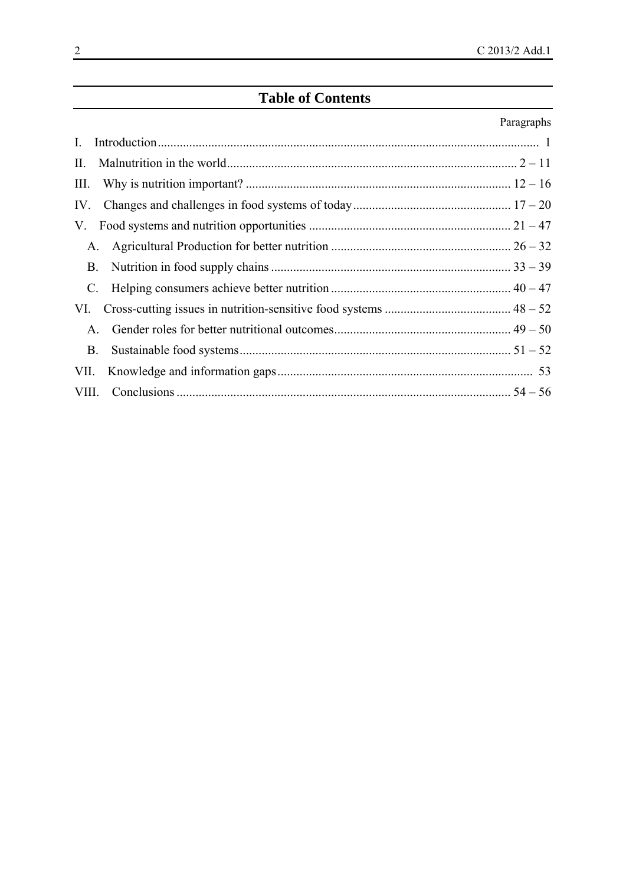# **Table of Contents**

# Paragraphs

| $\mathbf{I}$ . |  |
|----------------|--|
| П.             |  |
| III.           |  |
| IV.            |  |
| V.             |  |
| A.             |  |
| <b>B</b> .     |  |
|                |  |
| VI.            |  |
| $A_{\cdot}$    |  |
| В.             |  |
| VII.           |  |
|                |  |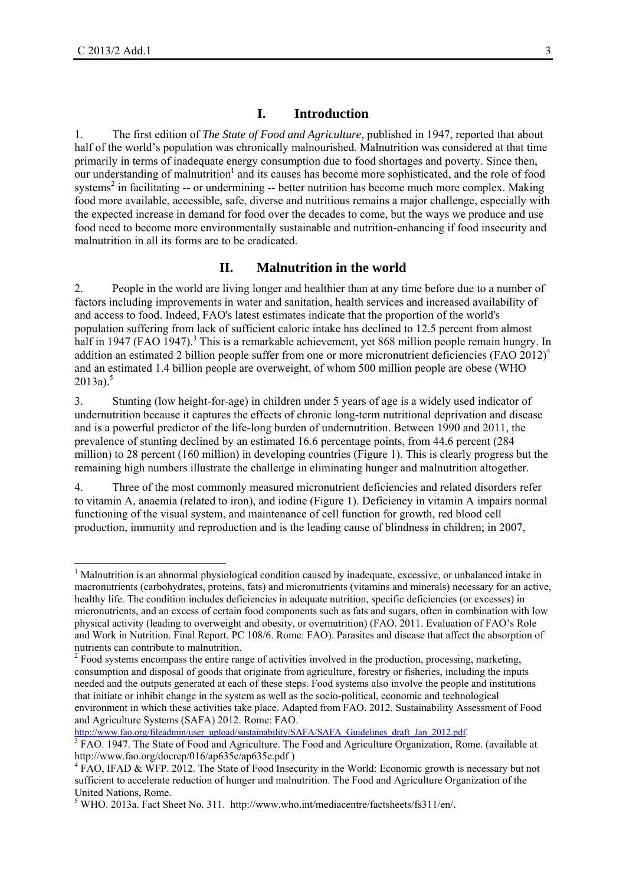#### **I. Introduction**

1. The first edition of *The State of Food and Agriculture*, published in 1947, reported that about half of the world's population was chronically malnourished. Malnutrition was considered at that time primarily in terms of inadequate energy consumption due to food shortages and poverty. Since then, our understanding of malnutrition<sup>1</sup> and its causes has become more sophisticated, and the role of food systems<sup>2</sup> in facilitating -- or undermining -- better nutrition has become much more complex. Making food more available, accessible, safe, diverse and nutritious remains a major challenge, especially with the expected increase in demand for food over the decades to come, but the ways we produce and use food need to become more environmentally sustainable and nutrition-enhancing if food insecurity and malnutrition in all its forms are to be eradicated.

#### **II. Malnutrition in the world**

2. People in the world are living longer and healthier than at any time before due to a number of factors including improvements in water and sanitation, health services and increased availability of and access to food. Indeed, FAO's latest estimates indicate that the proportion of the world's population suffering from lack of sufficient caloric intake has declined to 12.5 percent from almost half in 1947 (FAO 1947).<sup>3</sup> This is a remarkable achievement, yet 868 million people remain hungry. In addition an estimated 2 billion people suffer from one or more micronutrient deficiencies (FAO 2012)<sup>4</sup> and an estimated 1.4 billion people are overweight, of whom 500 million people are obese (WHO  $2013a$ <sup>5</sup>

3. Stunting (low height-for-age) in children under 5 years of age is a widely used indicator of undernutrition because it captures the effects of chronic long-term nutritional deprivation and disease and is a powerful predictor of the life-long burden of undernutrition. Between 1990 and 2011, the prevalence of stunting declined by an estimated 16.6 percentage points, from 44.6 percent (284 million) to 28 percent (160 million) in developing countries (Figure 1). This is clearly progress but the remaining high numbers illustrate the challenge in eliminating hunger and malnutrition altogether.

4. Three of the most commonly measured micronutrient deficiencies and related disorders refer to vitamin A, anaemia (related to iron), and iodine (Figure 1). Deficiency in vitamin A impairs normal functioning of the visual system, and maintenance of cell function for growth, red blood cell production, immunity and reproduction and is the leading cause of blindness in children; in 2007,

http://www.fao.org/fileadmin/user\_upload/sustainability/SAFA/SAFA\_Guidelines\_draft\_Jan\_2012.pdf.

<sup>&</sup>lt;sup>1</sup> Malnutrition is an abnormal physiological condition caused by inadequate, excessive, or unbalanced intake in macronutrients (carbohydrates, proteins, fats) and micronutrients (vitamins and minerals) necessary for an active, healthy life. The condition includes deficiencies in adequate nutrition, specific deficiencies (or excesses) in micronutrients, and an excess of certain food components such as fats and sugars, often in combination with low physical activity (leading to overweight and obesity, or overnutrition) (FAO. 2011. Evaluation of FAO's Role and Work in Nutrition. Final Report. PC 108/6. Rome: FAO). Parasites and disease that affect the absorption of nutrients can contribute to malnutrition.

 $2^{2}$  Food systems encompass the entire range of activities involved in the production, processing, marketing, consumption and disposal of goods that originate from agriculture, forestry or fisheries, including the inputs needed and the outputs generated at each of these steps. Food systems also involve the people and institutions that initiate or inhibit change in the system as well as the socio-political, economic and technological environment in which these activities take place. Adapted from FAO. 2012. Sustainability Assessment of Food and Agriculture Systems (SAFA) 2012. Rome: FAO.

FAO. 1947. The State of Food and Agriculture. The Food and Agriculture Organization, Rome. (available at http://www.fao.org/docrep/016/ap635e/ap635e.pdf )

<sup>&</sup>lt;sup>4</sup> FAO, IFAD & WFP. 2012. The State of Food Insecurity in the World: Economic growth is necessary but not sufficient to accelerate reduction of hunger and malnutrition. The Food and Agriculture Organization of the United Nations, Rome.

<sup>&</sup>lt;sup>5</sup> WHO. 2013a. Fact Sheet No. 311. http://www.who.int/mediacentre/factsheets/fs311/en/.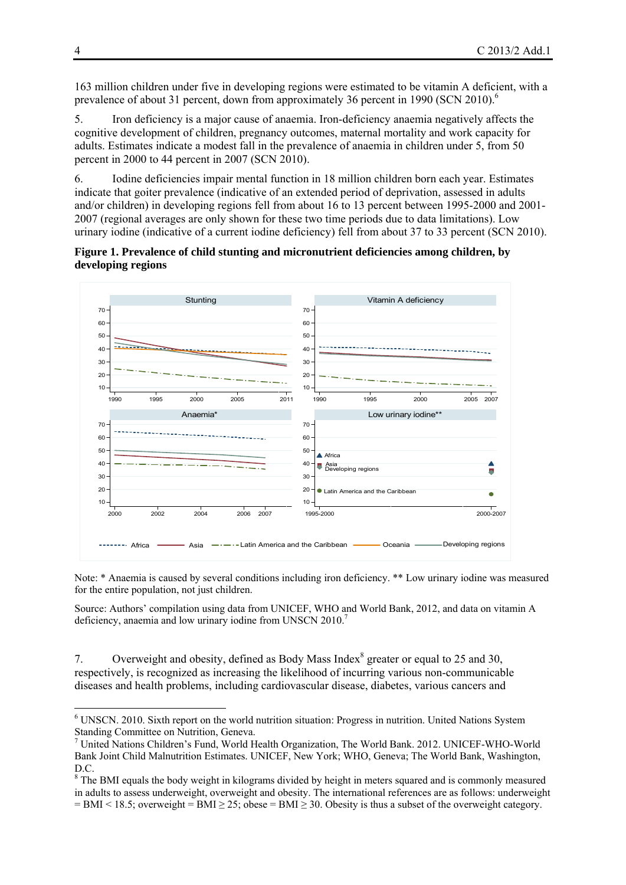163 million children under five in developing regions were estimated to be vitamin A deficient, with a prevalence of about 31 percent, down from approximately 36 percent in 1990 (SCN 2010).<sup>6</sup>

5. Iron deficiency is a major cause of anaemia. Iron-deficiency anaemia negatively affects the cognitive development of children, pregnancy outcomes, maternal mortality and work capacity for adults. Estimates indicate a modest fall in the prevalence of anaemia in children under 5, from 50 percent in 2000 to 44 percent in 2007 (SCN 2010).

6. Iodine deficiencies impair mental function in 18 million children born each year. Estimates indicate that goiter prevalence (indicative of an extended period of deprivation, assessed in adults and/or children) in developing regions fell from about 16 to 13 percent between 1995-2000 and 2001- 2007 (regional averages are only shown for these two time periods due to data limitations). Low urinary iodine (indicative of a current iodine deficiency) fell from about 37 to 33 percent (SCN 2010).

**Figure 1. Prevalence of child stunting and micronutrient deficiencies among children, by developing regions** 



Note: \* Anaemia is caused by several conditions including iron deficiency. \*\* Low urinary iodine was measured for the entire population, not just children.

Source: Authors' compilation using data from UNICEF, WHO and World Bank, 2012, and data on vitamin A deficiency, anaemia and low urinary iodine from UNSCN 2010.<sup>7</sup>

7. Overweight and obesity, defined as Body Mass Index<sup>8</sup> greater or equal to 25 and 30, respectively, is recognized as increasing the likelihood of incurring various non-communicable diseases and health problems, including cardiovascular disease, diabetes, various cancers and

1

<sup>&</sup>lt;sup>6</sup> UNSCN. 2010. Sixth report on the world nutrition situation: Progress in nutrition. United Nations System Standing Committee on Nutrition, Geneva.

<sup>7</sup> United Nations Children's Fund, World Health Organization, The World Bank. 2012. UNICEF-WHO-World Bank Joint Child Malnutrition Estimates. UNICEF, New York; WHO, Geneva; The World Bank, Washington, D.C.

<sup>&</sup>lt;sup>8</sup> The BMI equals the body weight in kilograms divided by height in meters squared and is commonly measured in adults to assess underweight, overweight and obesity. The international references are as follows: underweight  $=$  BMI < 18.5; overweight  $=$  BMI  $\geq$  25; obese  $=$  BMI  $\geq$  30. Obesity is thus a subset of the overweight category.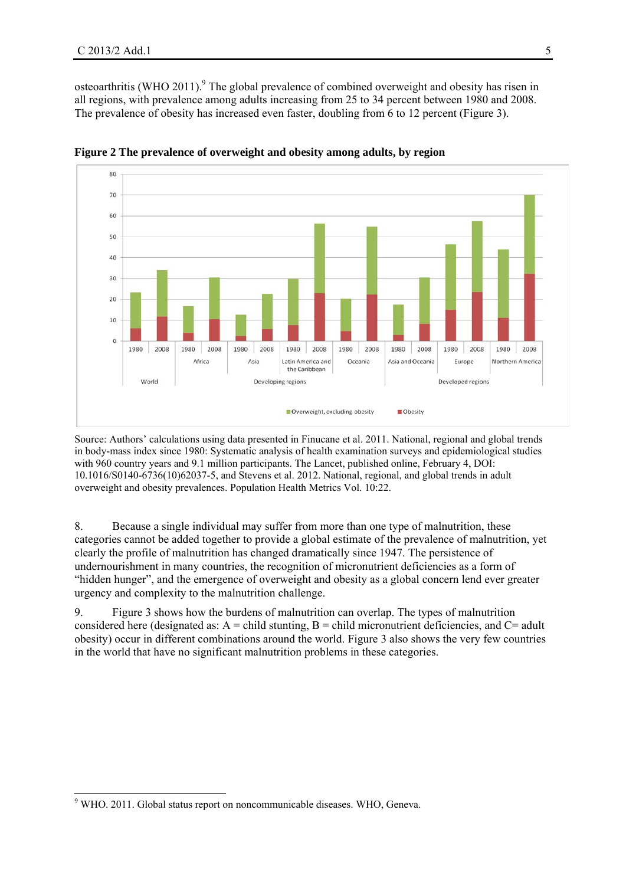osteoarthritis (WHO 2011).<sup>9</sup> The global prevalence of combined overweight and obesity has risen in all regions, with prevalence among adults increasing from 25 to 34 percent between 1980 and 2008. The prevalence of obesity has increased even faster, doubling from 6 to 12 percent (Figure 3).



**Figure 2 The prevalence of overweight and obesity among adults, by region** 

Source: Authors' calculations using data presented in Finucane et al. 2011. National, regional and global trends in body-mass index since 1980: Systematic analysis of health examination surveys and epidemiological studies with 960 country years and 9.1 million participants. The Lancet, published online, February 4, DOI: 10.1016/S0140-6736(10)62037-5, and Stevens et al. 2012. National, regional, and global trends in adult overweight and obesity prevalences. Population Health Metrics Vol. 10:22.

8. Because a single individual may suffer from more than one type of malnutrition, these categories cannot be added together to provide a global estimate of the prevalence of malnutrition, yet clearly the profile of malnutrition has changed dramatically since 1947. The persistence of undernourishment in many countries, the recognition of micronutrient deficiencies as a form of "hidden hunger", and the emergence of overweight and obesity as a global concern lend ever greater urgency and complexity to the malnutrition challenge.

9. Figure 3 shows how the burdens of malnutrition can overlap. The types of malnutrition considered here (designated as:  $A =$  child stunting,  $B =$  child micronutrient deficiencies, and  $C =$  adult obesity) occur in different combinations around the world. Figure 3 also shows the very few countries in the world that have no significant malnutrition problems in these categories.

 9 WHO. 2011. Global status report on noncommunicable diseases. WHO, Geneva.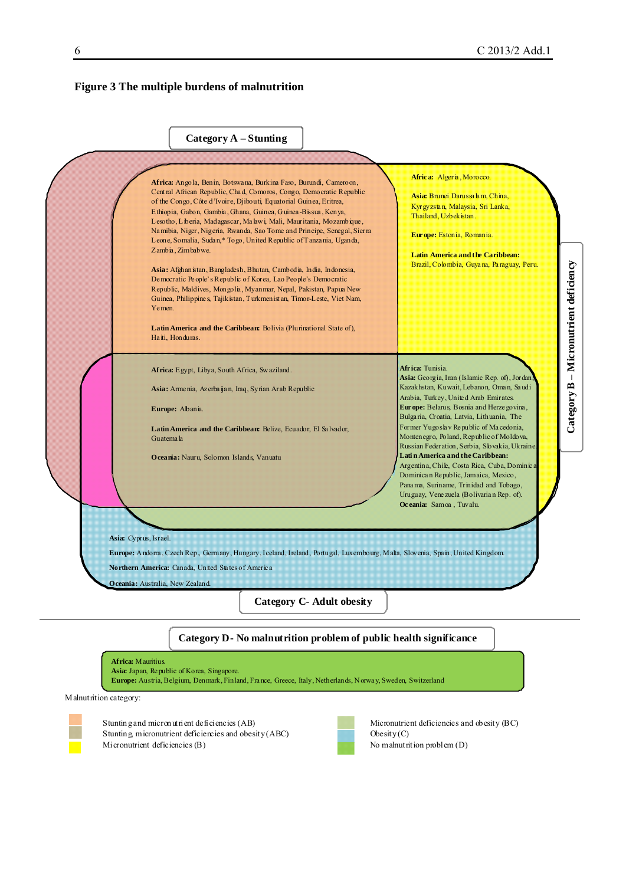#### **Figure 3 The multiple burdens of malnutrition**



#### **Category D- No malnutrition problem of public health significance**



Malnutrition category:



Stunting, micronutrient deficiencies and obesity (ABC) Obesity (C) Micronutrient deficiencies (B) No malnutrition problem (D)

Stunting and micron utrient deficiencies (AB) Micronutrient deficiencies and obesity (BC)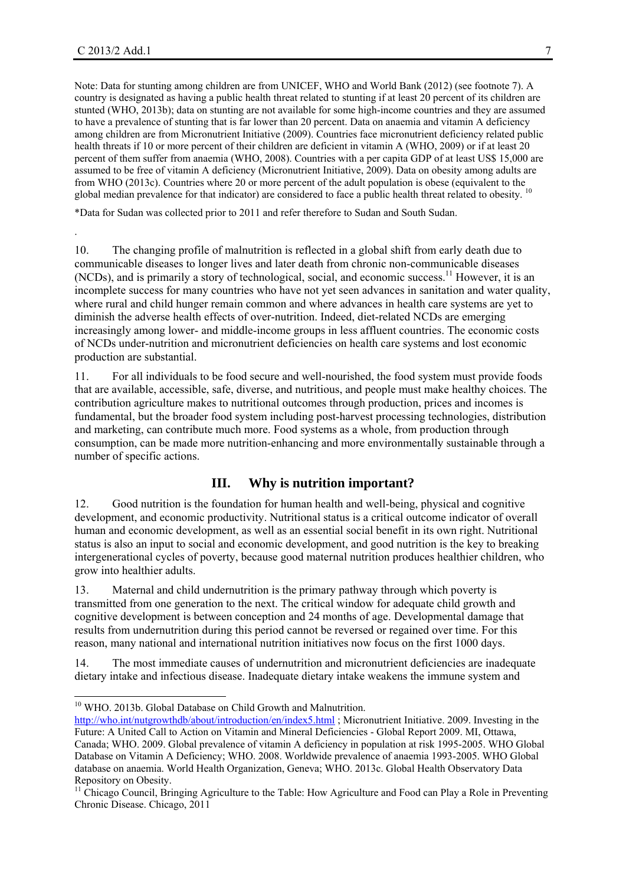.

1

Note: Data for stunting among children are from UNICEF, WHO and World Bank (2012) (see footnote 7). A country is designated as having a public health threat related to stunting if at least 20 percent of its children are stunted (WHO, 2013b); data on stunting are not available for some high-income countries and they are assumed to have a prevalence of stunting that is far lower than 20 percent. Data on anaemia and vitamin A deficiency among children are from Micronutrient Initiative (2009). Countries face micronutrient deficiency related public health threats if 10 or more percent of their children are deficient in vitamin A (WHO, 2009) or if at least 20 percent of them suffer from anaemia (WHO, 2008). Countries with a per capita GDP of at least US\$ 15,000 are assumed to be free of vitamin A deficiency (Micronutrient Initiative, 2009). Data on obesity among adults are from WHO (2013c). Countries where 20 or more percent of the adult population is obese (equivalent to the global median prevalence for that indicator) are considered to face a public health threat related to obesity. <sup>10</sup>

\*Data for Sudan was collected prior to 2011 and refer therefore to Sudan and South Sudan.

10. The changing profile of malnutrition is reflected in a global shift from early death due to communicable diseases to longer lives and later death from chronic non-communicable diseases (NCDs), and is primarily a story of technological, social, and economic success.<sup>11</sup> However, it is an incomplete success for many countries who have not yet seen advances in sanitation and water quality, where rural and child hunger remain common and where advances in health care systems are yet to diminish the adverse health effects of over-nutrition. Indeed, diet-related NCDs are emerging increasingly among lower- and middle-income groups in less affluent countries. The economic costs of NCDs under-nutrition and micronutrient deficiencies on health care systems and lost economic production are substantial.

11. For all individuals to be food secure and well-nourished, the food system must provide foods that are available, accessible, safe, diverse, and nutritious, and people must make healthy choices. The contribution agriculture makes to nutritional outcomes through production, prices and incomes is fundamental, but the broader food system including post-harvest processing technologies, distribution and marketing, can contribute much more. Food systems as a whole, from production through consumption, can be made more nutrition-enhancing and more environmentally sustainable through a number of specific actions.

#### **III. Why is nutrition important?**

12. Good nutrition is the foundation for human health and well-being, physical and cognitive development, and economic productivity. Nutritional status is a critical outcome indicator of overall human and economic development, as well as an essential social benefit in its own right. Nutritional status is also an input to social and economic development, and good nutrition is the key to breaking intergenerational cycles of poverty, because good maternal nutrition produces healthier children, who grow into healthier adults.

13. Maternal and child undernutrition is the primary pathway through which poverty is transmitted from one generation to the next. The critical window for adequate child growth and cognitive development is between conception and 24 months of age. Developmental damage that results from undernutrition during this period cannot be reversed or regained over time. For this reason, many national and international nutrition initiatives now focus on the first 1000 days.

14. The most immediate causes of undernutrition and micronutrient deficiencies are inadequate dietary intake and infectious disease. Inadequate dietary intake weakens the immune system and

<sup>&</sup>lt;sup>10</sup> WHO. 2013b. Global Database on Child Growth and Malnutrition.

http://who.int/nutgrowthdb/about/introduction/en/index5.html ; Micronutrient Initiative. 2009. Investing in the Future: A United Call to Action on Vitamin and Mineral Deficiencies - Global Report 2009. MI, Ottawa, Canada; WHO. 2009. Global prevalence of vitamin A deficiency in population at risk 1995-2005. WHO Global Database on Vitamin A Deficiency; WHO. 2008. Worldwide prevalence of anaemia 1993-2005. WHO Global database on anaemia. World Health Organization, Geneva; WHO. 2013c. Global Health Observatory Data Repository on Obesity.

<sup>&</sup>lt;sup>11</sup> Chicago Council, Bringing Agriculture to the Table: How Agriculture and Food can Play a Role in Preventing Chronic Disease. Chicago, 2011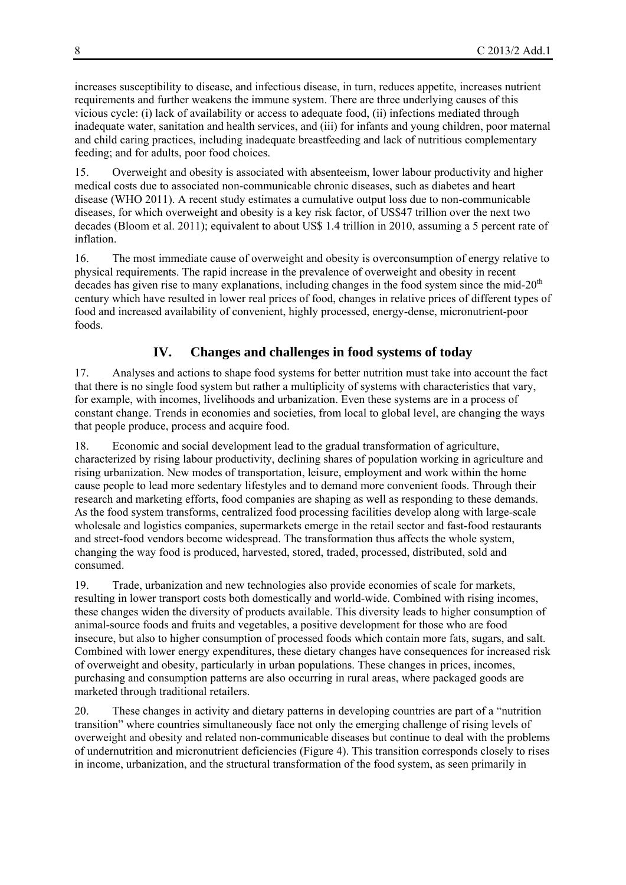increases susceptibility to disease, and infectious disease, in turn, reduces appetite, increases nutrient requirements and further weakens the immune system. There are three underlying causes of this vicious cycle: (i) lack of availability or access to adequate food, (ii) infections mediated through inadequate water, sanitation and health services, and (iii) for infants and young children, poor maternal and child caring practices, including inadequate breastfeeding and lack of nutritious complementary feeding; and for adults, poor food choices.

15. Overweight and obesity is associated with absenteeism, lower labour productivity and higher medical costs due to associated non-communicable chronic diseases, such as diabetes and heart disease (WHO 2011). A recent study estimates a cumulative output loss due to non-communicable diseases, for which overweight and obesity is a key risk factor, of US\$47 trillion over the next two decades (Bloom et al. 2011); equivalent to about US\$ 1.4 trillion in 2010, assuming a 5 percent rate of inflation.

16. The most immediate cause of overweight and obesity is overconsumption of energy relative to physical requirements. The rapid increase in the prevalence of overweight and obesity in recent decades has given rise to many explanations, including changes in the food system since the mid-20<sup>th</sup> century which have resulted in lower real prices of food, changes in relative prices of different types of food and increased availability of convenient, highly processed, energy-dense, micronutrient-poor foods.

# **IV. Changes and challenges in food systems of today**

17. Analyses and actions to shape food systems for better nutrition must take into account the fact that there is no single food system but rather a multiplicity of systems with characteristics that vary, for example, with incomes, livelihoods and urbanization. Even these systems are in a process of constant change. Trends in economies and societies, from local to global level, are changing the ways that people produce, process and acquire food.

18. Economic and social development lead to the gradual transformation of agriculture, characterized by rising labour productivity, declining shares of population working in agriculture and rising urbanization. New modes of transportation, leisure, employment and work within the home cause people to lead more sedentary lifestyles and to demand more convenient foods. Through their research and marketing efforts, food companies are shaping as well as responding to these demands. As the food system transforms, centralized food processing facilities develop along with large-scale wholesale and logistics companies, supermarkets emerge in the retail sector and fast-food restaurants and street-food vendors become widespread. The transformation thus affects the whole system, changing the way food is produced, harvested, stored, traded, processed, distributed, sold and consumed.

19. Trade, urbanization and new technologies also provide economies of scale for markets, resulting in lower transport costs both domestically and world-wide. Combined with rising incomes, these changes widen the diversity of products available. This diversity leads to higher consumption of animal-source foods and fruits and vegetables, a positive development for those who are food insecure, but also to higher consumption of processed foods which contain more fats, sugars, and salt. Combined with lower energy expenditures, these dietary changes have consequences for increased risk of overweight and obesity, particularly in urban populations. These changes in prices, incomes, purchasing and consumption patterns are also occurring in rural areas, where packaged goods are marketed through traditional retailers.

20. These changes in activity and dietary patterns in developing countries are part of a "nutrition transition" where countries simultaneously face not only the emerging challenge of rising levels of overweight and obesity and related non-communicable diseases but continue to deal with the problems of undernutrition and micronutrient deficiencies (Figure 4). This transition corresponds closely to rises in income, urbanization, and the structural transformation of the food system, as seen primarily in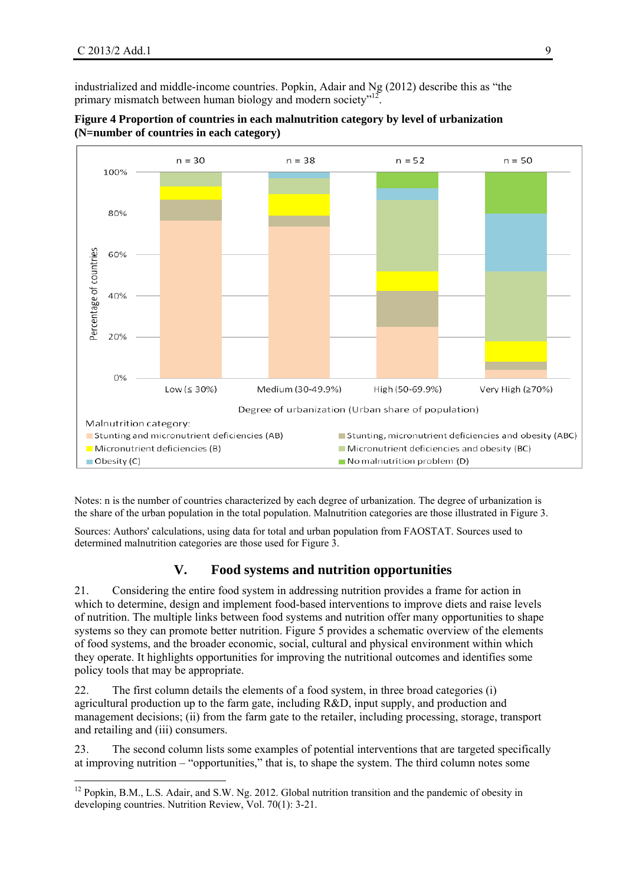industrialized and middle-income countries. Popkin, Adair and Ng (2012) describe this as "the primary mismatch between human biology and modern society"<sup>12</sup>.



#### **Figure 4 Proportion of countries in each malnutrition category by level of urbanization (N=number of countries in each category)**

Notes: n is the number of countries characterized by each degree of urbanization. The degree of urbanization is the share of the urban population in the total population. Malnutrition categories are those illustrated in Figure 3.

Sources: Authors' calculations, using data for total and urban population from FAOSTAT. Sources used to determined malnutrition categories are those used for Figure 3.

## **V. Food systems and nutrition opportunities**

21. Considering the entire food system in addressing nutrition provides a frame for action in which to determine, design and implement food-based interventions to improve diets and raise levels of nutrition. The multiple links between food systems and nutrition offer many opportunities to shape systems so they can promote better nutrition. Figure 5 provides a schematic overview of the elements of food systems, and the broader economic, social, cultural and physical environment within which they operate. It highlights opportunities for improving the nutritional outcomes and identifies some policy tools that may be appropriate.

22. The first column details the elements of a food system, in three broad categories (i) agricultural production up to the farm gate, including R&D, input supply, and production and management decisions; (ii) from the farm gate to the retailer, including processing, storage, transport and retailing and (iii) consumers.

23. The second column lists some examples of potential interventions that are targeted specifically at improving nutrition – "opportunities," that is, to shape the system. The third column notes some

<sup>&</sup>lt;sup>12</sup> Popkin, B.M., L.S. Adair, and S.W. Ng. 2012. Global nutrition transition and the pandemic of obesity in developing countries. Nutrition Review, Vol. 70(1): 3-21.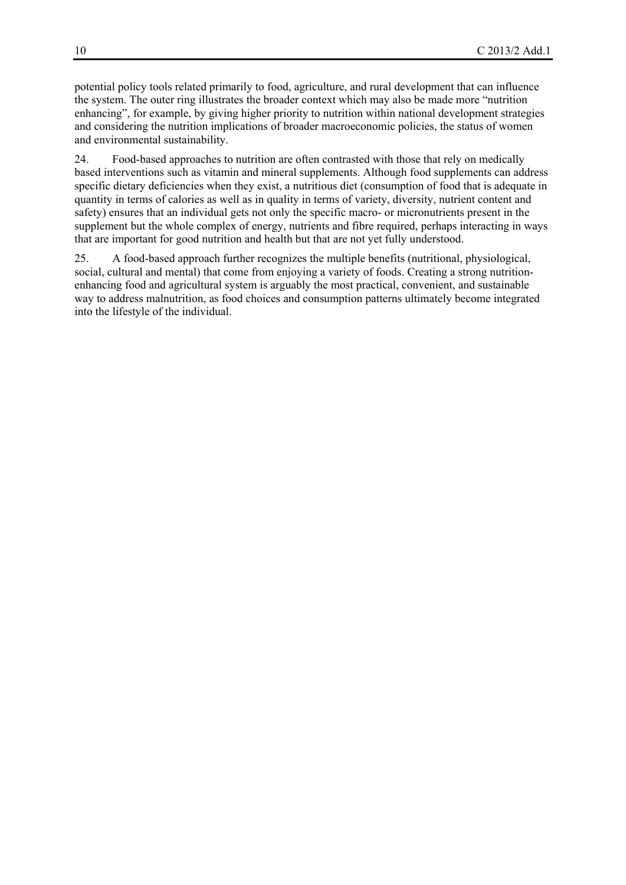potential policy tools related primarily to food, agriculture, and rural development that can influence the system. The outer ring illustrates the broader context which may also be made more "nutrition enhancing", for example, by giving higher priority to nutrition within national development strategies and considering the nutrition implications of broader macroeconomic policies, the status of women and environmental sustainability.

24. Food-based approaches to nutrition are often contrasted with those that rely on medically based interventions such as vitamin and mineral supplements. Although food supplements can address specific dietary deficiencies when they exist, a nutritious diet (consumption of food that is adequate in quantity in terms of calories as well as in quality in terms of variety, diversity, nutrient content and safety) ensures that an individual gets not only the specific macro- or micronutrients present in the supplement but the whole complex of energy, nutrients and fibre required, perhaps interacting in ways that are important for good nutrition and health but that are not yet fully understood.

25. A food-based approach further recognizes the multiple benefits (nutritional, physiological, social, cultural and mental) that come from enjoying a variety of foods. Creating a strong nutritionenhancing food and agricultural system is arguably the most practical, convenient, and sustainable way to address malnutrition, as food choices and consumption patterns ultimately become integrated into the lifestyle of the individual.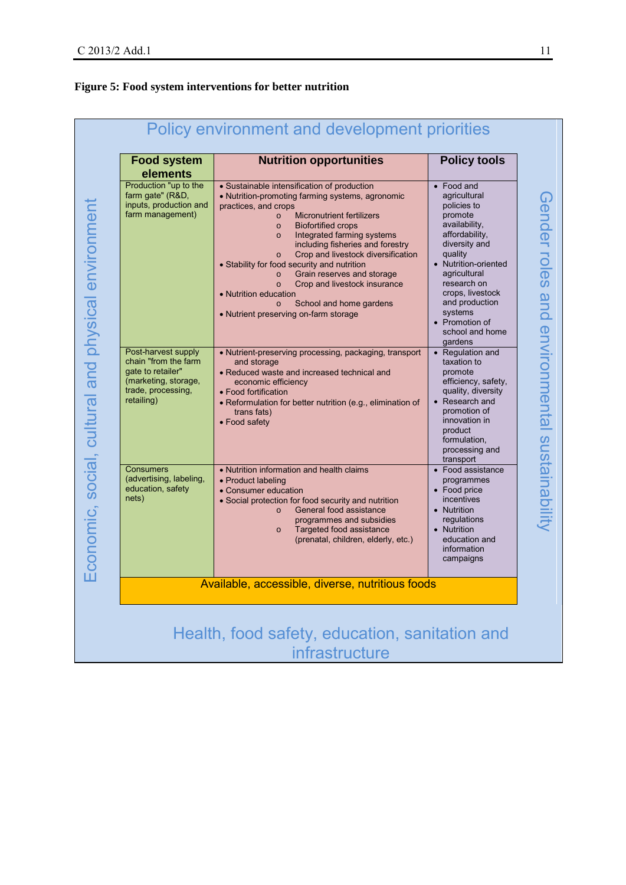## **Figure 5: Food system interventions for better nutrition**

| <b>Food system</b><br>elements                                                                                               | <b>Nutrition opportunities</b>                                                                                                                                                                                                                                                                                                                                                                                                                                                                                                                                                          | <b>Policy tools</b>                                                                                                                                                                                                                                                         |
|------------------------------------------------------------------------------------------------------------------------------|-----------------------------------------------------------------------------------------------------------------------------------------------------------------------------------------------------------------------------------------------------------------------------------------------------------------------------------------------------------------------------------------------------------------------------------------------------------------------------------------------------------------------------------------------------------------------------------------|-----------------------------------------------------------------------------------------------------------------------------------------------------------------------------------------------------------------------------------------------------------------------------|
| Production "up to the<br>farm gate" (R&D,<br>inputs, production and<br>farm management)                                      | • Sustainable intensification of production<br>• Nutrition-promoting farming systems, agronomic<br>practices, and crops<br><b>Micronutrient fertilizers</b><br>$\circ$<br><b>Biofortified crops</b><br>$\circ$<br>Integrated farming systems<br>$\circ$<br>including fisheries and forestry<br>Crop and livestock diversification<br>$\circ$<br>• Stability for food security and nutrition<br>Grain reserves and storage<br>$\circ$<br>Crop and livestock insurance<br>$\circ$<br>• Nutrition education<br>School and home gardens<br>$\circ$<br>• Nutrient preserving on-farm storage | • Food and<br>agricultural<br>policies to<br>promote<br>availability,<br>affordability,<br>diversity and<br>quality<br>• Nutrition-oriented<br>agricultural<br>research on<br>crops, livestock<br>and production<br>systems<br>• Promotion of<br>school and home<br>gardens |
| Post-harvest supply<br>chain "from the farm<br>gate to retailer"<br>(marketing, storage,<br>trade, processing,<br>retailing) | • Nutrient-preserving processing, packaging, transport<br>and storage<br>• Reduced waste and increased technical and<br>economic efficiency<br>• Food fortification<br>• Reformulation for better nutrition (e.g., elimination of<br>trans fats)<br>• Food safety                                                                                                                                                                                                                                                                                                                       | • Regulation and<br>taxation to<br>promote<br>efficiency, safety,<br>quality, diversity<br>• Research and<br>promotion of<br>innovation in<br>product<br>formulation,<br>processing and<br>transport                                                                        |
| <b>Consumers</b><br>(advertising, labeling,<br>education, safety<br>nets)                                                    | • Nutrition information and health claims<br>• Product labeling<br>• Consumer education<br>• Social protection for food security and nutrition<br>General food assistance<br>$\circ$<br>programmes and subsidies<br>Targeted food assistance<br>$\circ$<br>(prenatal, children, elderly, etc.)                                                                                                                                                                                                                                                                                          | • Food assistance<br>programmes<br>• Food price<br>incentives<br>• Nutrition<br>regulations<br>• Nutrition<br>education and<br>information<br>campaigns                                                                                                                     |
|                                                                                                                              | Available, accessible, diverse, nutritious foods                                                                                                                                                                                                                                                                                                                                                                                                                                                                                                                                        |                                                                                                                                                                                                                                                                             |

infrastructure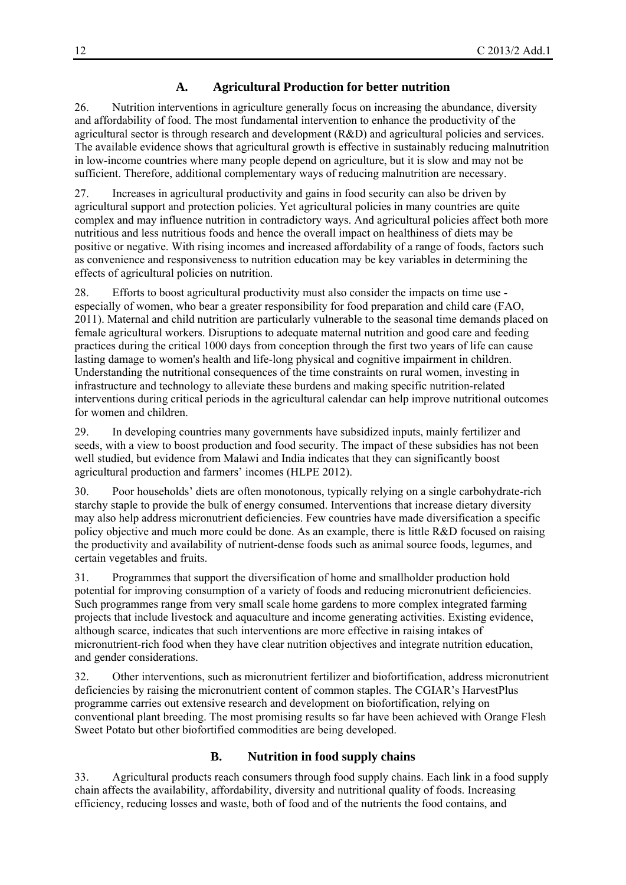## **A. Agricultural Production for better nutrition**

26. Nutrition interventions in agriculture generally focus on increasing the abundance, diversity and affordability of food. The most fundamental intervention to enhance the productivity of the agricultural sector is through research and development (R&D) and agricultural policies and services. The available evidence shows that agricultural growth is effective in sustainably reducing malnutrition in low-income countries where many people depend on agriculture, but it is slow and may not be sufficient. Therefore, additional complementary ways of reducing malnutrition are necessary.

27. Increases in agricultural productivity and gains in food security can also be driven by agricultural support and protection policies. Yet agricultural policies in many countries are quite complex and may influence nutrition in contradictory ways. And agricultural policies affect both more nutritious and less nutritious foods and hence the overall impact on healthiness of diets may be positive or negative. With rising incomes and increased affordability of a range of foods, factors such as convenience and responsiveness to nutrition education may be key variables in determining the effects of agricultural policies on nutrition.

28. Efforts to boost agricultural productivity must also consider the impacts on time use especially of women, who bear a greater responsibility for food preparation and child care (FAO, 2011). Maternal and child nutrition are particularly vulnerable to the seasonal time demands placed on female agricultural workers. Disruptions to adequate maternal nutrition and good care and feeding practices during the critical 1000 days from conception through the first two years of life can cause lasting damage to women's health and life-long physical and cognitive impairment in children. Understanding the nutritional consequences of the time constraints on rural women, investing in infrastructure and technology to alleviate these burdens and making specific nutrition-related interventions during critical periods in the agricultural calendar can help improve nutritional outcomes for women and children.

29. In developing countries many governments have subsidized inputs, mainly fertilizer and seeds, with a view to boost production and food security. The impact of these subsidies has not been well studied, but evidence from Malawi and India indicates that they can significantly boost agricultural production and farmers' incomes (HLPE 2012).

30. Poor households' diets are often monotonous, typically relying on a single carbohydrate-rich starchy staple to provide the bulk of energy consumed. Interventions that increase dietary diversity may also help address micronutrient deficiencies. Few countries have made diversification a specific policy objective and much more could be done. As an example, there is little R&D focused on raising the productivity and availability of nutrient-dense foods such as animal source foods, legumes, and certain vegetables and fruits.

31. Programmes that support the diversification of home and smallholder production hold potential for improving consumption of a variety of foods and reducing micronutrient deficiencies. Such programmes range from very small scale home gardens to more complex integrated farming projects that include livestock and aquaculture and income generating activities. Existing evidence, although scarce, indicates that such interventions are more effective in raising intakes of micronutrient-rich food when they have clear nutrition objectives and integrate nutrition education, and gender considerations.

32. Other interventions, such as micronutrient fertilizer and biofortification, address micronutrient deficiencies by raising the micronutrient content of common staples. The CGIAR's HarvestPlus programme carries out extensive research and development on biofortification, relying on conventional plant breeding. The most promising results so far have been achieved with Orange Flesh Sweet Potato but other biofortified commodities are being developed.

#### **B. Nutrition in food supply chains**

33. Agricultural products reach consumers through food supply chains. Each link in a food supply chain affects the availability, affordability, diversity and nutritional quality of foods. Increasing efficiency, reducing losses and waste, both of food and of the nutrients the food contains, and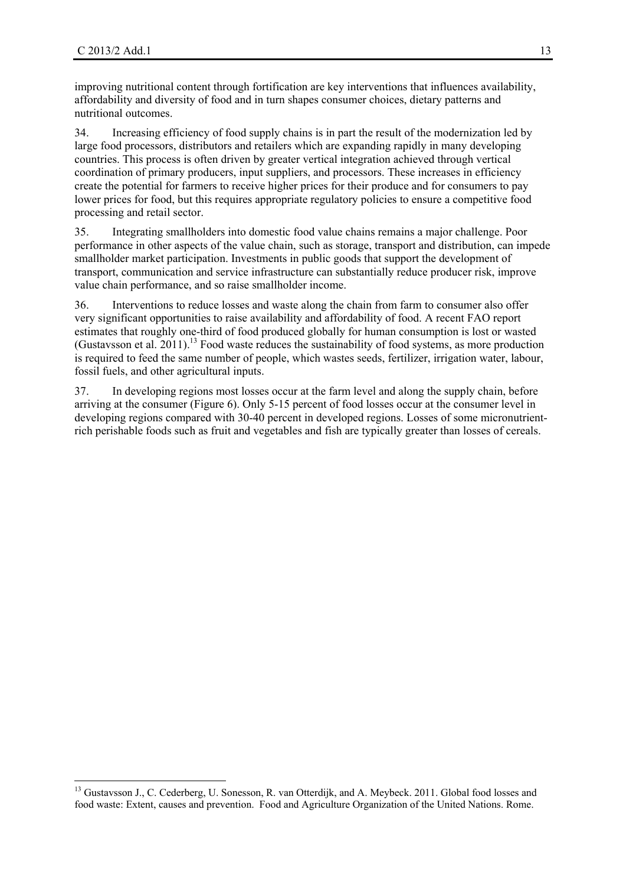improving nutritional content through fortification are key interventions that influences availability, affordability and diversity of food and in turn shapes consumer choices, dietary patterns and nutritional outcomes.

34. Increasing efficiency of food supply chains is in part the result of the modernization led by large food processors, distributors and retailers which are expanding rapidly in many developing countries. This process is often driven by greater vertical integration achieved through vertical coordination of primary producers, input suppliers, and processors. These increases in efficiency create the potential for farmers to receive higher prices for their produce and for consumers to pay lower prices for food, but this requires appropriate regulatory policies to ensure a competitive food processing and retail sector.

35. Integrating smallholders into domestic food value chains remains a major challenge. Poor performance in other aspects of the value chain, such as storage, transport and distribution, can impede smallholder market participation. Investments in public goods that support the development of transport, communication and service infrastructure can substantially reduce producer risk, improve value chain performance, and so raise smallholder income.

36. Interventions to reduce losses and waste along the chain from farm to consumer also offer very significant opportunities to raise availability and affordability of food. A recent FAO report estimates that roughly one-third of food produced globally for human consumption is lost or wasted (Gustavsson et al.  $2011$ ).<sup>13</sup> Food waste reduces the sustainability of food systems, as more production is required to feed the same number of people, which wastes seeds, fertilizer, irrigation water, labour, fossil fuels, and other agricultural inputs.

37. In developing regions most losses occur at the farm level and along the supply chain, before arriving at the consumer (Figure 6). Only 5-15 percent of food losses occur at the consumer level in developing regions compared with 30-40 percent in developed regions. Losses of some micronutrientrich perishable foods such as fruit and vegetables and fish are typically greater than losses of cereals.

<sup>&</sup>lt;sup>13</sup> Gustavsson J., C. Cederberg, U. Sonesson, R. van Otterdijk, and A. Meybeck. 2011. Global food losses and food waste: Extent, causes and prevention. Food and Agriculture Organization of the United Nations. Rome.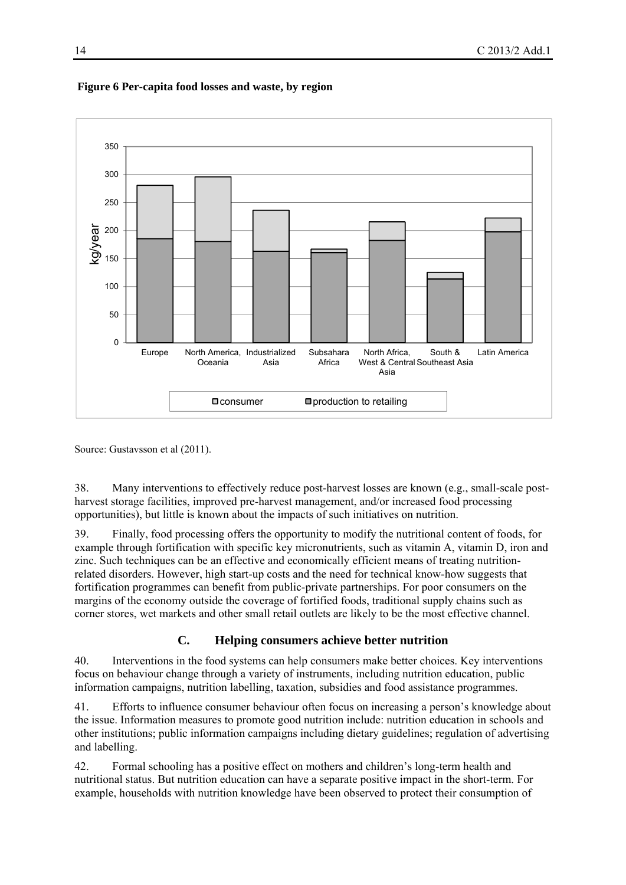

#### **Figure 6 Per-capita food losses and waste, by region**

Source: Gustavsson et al (2011).

38. Many interventions to effectively reduce post-harvest losses are known (e.g., small-scale postharvest storage facilities, improved pre-harvest management, and/or increased food processing opportunities), but little is known about the impacts of such initiatives on nutrition.

39. Finally, food processing offers the opportunity to modify the nutritional content of foods, for example through fortification with specific key micronutrients, such as vitamin A, vitamin D, iron and zinc. Such techniques can be an effective and economically efficient means of treating nutritionrelated disorders. However, high start-up costs and the need for technical know-how suggests that fortification programmes can benefit from public-private partnerships. For poor consumers on the margins of the economy outside the coverage of fortified foods, traditional supply chains such as corner stores, wet markets and other small retail outlets are likely to be the most effective channel.

## **C. Helping consumers achieve better nutrition**

40. Interventions in the food systems can help consumers make better choices. Key interventions focus on behaviour change through a variety of instruments, including nutrition education, public information campaigns, nutrition labelling, taxation, subsidies and food assistance programmes.

41. Efforts to influence consumer behaviour often focus on increasing a person's knowledge about the issue. Information measures to promote good nutrition include: nutrition education in schools and other institutions; public information campaigns including dietary guidelines; regulation of advertising and labelling.

42. Formal schooling has a positive effect on mothers and children's long-term health and nutritional status. But nutrition education can have a separate positive impact in the short-term. For example, households with nutrition knowledge have been observed to protect their consumption of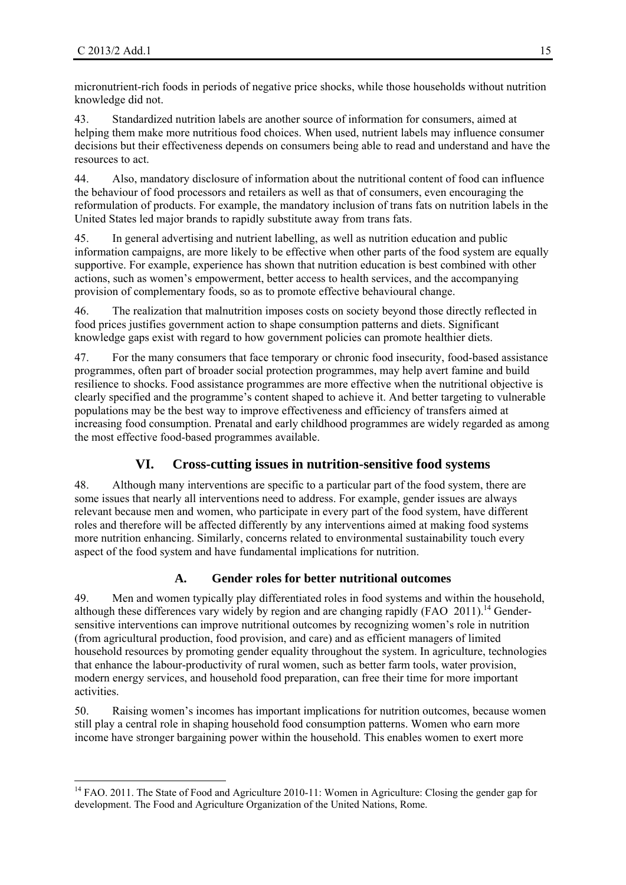micronutrient-rich foods in periods of negative price shocks, while those households without nutrition knowledge did not.

43. Standardized nutrition labels are another source of information for consumers, aimed at helping them make more nutritious food choices. When used, nutrient labels may influence consumer decisions but their effectiveness depends on consumers being able to read and understand and have the resources to act.

44. Also, mandatory disclosure of information about the nutritional content of food can influence the behaviour of food processors and retailers as well as that of consumers, even encouraging the reformulation of products. For example, the mandatory inclusion of trans fats on nutrition labels in the United States led major brands to rapidly substitute away from trans fats.

45. In general advertising and nutrient labelling, as well as nutrition education and public information campaigns, are more likely to be effective when other parts of the food system are equally supportive. For example, experience has shown that nutrition education is best combined with other actions, such as women's empowerment, better access to health services, and the accompanying provision of complementary foods, so as to promote effective behavioural change.

46. The realization that malnutrition imposes costs on society beyond those directly reflected in food prices justifies government action to shape consumption patterns and diets. Significant knowledge gaps exist with regard to how government policies can promote healthier diets.

47. For the many consumers that face temporary or chronic food insecurity, food-based assistance programmes, often part of broader social protection programmes, may help avert famine and build resilience to shocks. Food assistance programmes are more effective when the nutritional objective is clearly specified and the programme's content shaped to achieve it. And better targeting to vulnerable populations may be the best way to improve effectiveness and efficiency of transfers aimed at increasing food consumption. Prenatal and early childhood programmes are widely regarded as among the most effective food-based programmes available.

# **VI. Cross-cutting issues in nutrition-sensitive food systems**

48. Although many interventions are specific to a particular part of the food system, there are some issues that nearly all interventions need to address. For example, gender issues are always relevant because men and women, who participate in every part of the food system, have different roles and therefore will be affected differently by any interventions aimed at making food systems more nutrition enhancing. Similarly, concerns related to environmental sustainability touch every aspect of the food system and have fundamental implications for nutrition.

# **A. Gender roles for better nutritional outcomes**

49. Men and women typically play differentiated roles in food systems and within the household, although these differences vary widely by region and are changing rapidly (FAO 2011).<sup>14</sup> Gendersensitive interventions can improve nutritional outcomes by recognizing women's role in nutrition (from agricultural production, food provision, and care) and as efficient managers of limited household resources by promoting gender equality throughout the system. In agriculture, technologies that enhance the labour-productivity of rural women, such as better farm tools, water provision, modern energy services, and household food preparation, can free their time for more important activities.

50. Raising women's incomes has important implications for nutrition outcomes, because women still play a central role in shaping household food consumption patterns. Women who earn more income have stronger bargaining power within the household. This enables women to exert more

<sup>&</sup>lt;sup>14</sup> FAO. 2011. The State of Food and Agriculture 2010-11: Women in Agriculture: Closing the gender gap for development. The Food and Agriculture Organization of the United Nations, Rome.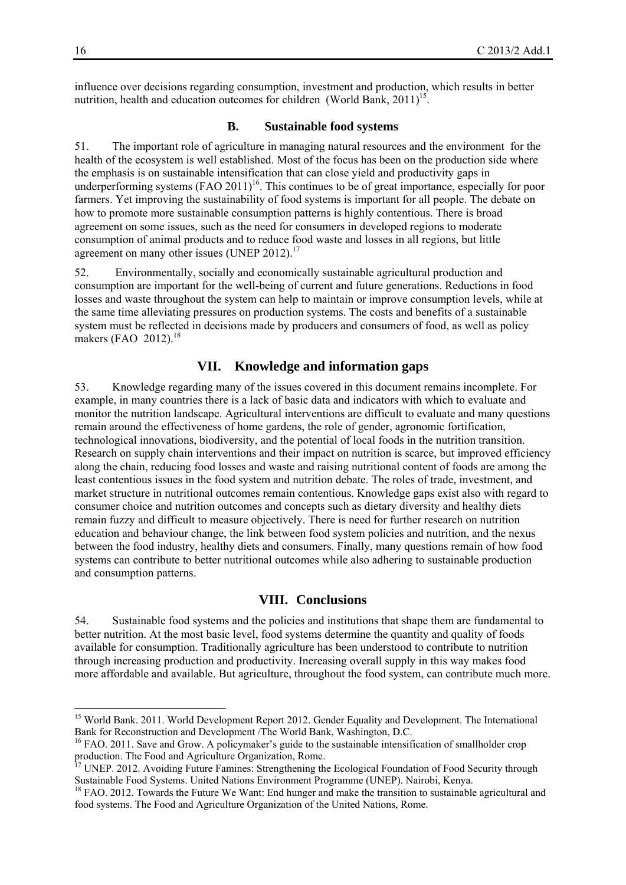influence over decisions regarding consumption, investment and production, which results in better nutrition, health and education outcomes for children (World Bank,  $2011$ <sup>15</sup>.

#### **B. Sustainable food systems**

51. The important role of agriculture in managing natural resources and the environment for the health of the ecosystem is well established. Most of the focus has been on the production side where the emphasis is on sustainable intensification that can close yield and productivity gaps in underperforming systems  $(FAO 2011)^{16}$ . This continues to be of great importance, especially for poor farmers. Yet improving the sustainability of food systems is important for all people. The debate on how to promote more sustainable consumption patterns is highly contentious. There is broad agreement on some issues, such as the need for consumers in developed regions to moderate consumption of animal products and to reduce food waste and losses in all regions, but little agreement on many other issues (UNEP 2012).<sup>17</sup>

52. Environmentally, socially and economically sustainable agricultural production and consumption are important for the well-being of current and future generations. Reductions in food losses and waste throughout the system can help to maintain or improve consumption levels, while at the same time alleviating pressures on production systems. The costs and benefits of a sustainable system must be reflected in decisions made by producers and consumers of food, as well as policy makers (FAO 2012).<sup>18</sup>

#### **VII. Knowledge and information gaps**

53. Knowledge regarding many of the issues covered in this document remains incomplete. For example, in many countries there is a lack of basic data and indicators with which to evaluate and monitor the nutrition landscape. Agricultural interventions are difficult to evaluate and many questions remain around the effectiveness of home gardens, the role of gender, agronomic fortification, technological innovations, biodiversity, and the potential of local foods in the nutrition transition. Research on supply chain interventions and their impact on nutrition is scarce, but improved efficiency along the chain, reducing food losses and waste and raising nutritional content of foods are among the least contentious issues in the food system and nutrition debate. The roles of trade, investment, and market structure in nutritional outcomes remain contentious. Knowledge gaps exist also with regard to consumer choice and nutrition outcomes and concepts such as dietary diversity and healthy diets remain fuzzy and difficult to measure objectively. There is need for further research on nutrition education and behaviour change, the link between food system policies and nutrition, and the nexus between the food industry, healthy diets and consumers. Finally, many questions remain of how food systems can contribute to better nutritional outcomes while also adhering to sustainable production and consumption patterns.

#### **VIII. Conclusions**

54. Sustainable food systems and the policies and institutions that shape them are fundamental to better nutrition. At the most basic level, food systems determine the quantity and quality of foods available for consumption. Traditionally agriculture has been understood to contribute to nutrition through increasing production and productivity. Increasing overall supply in this way makes food more affordable and available. But agriculture, throughout the food system, can contribute much more.

1

<sup>&</sup>lt;sup>15</sup> World Bank. 2011. World Development Report 2012. Gender Equality and Development. The International Bank for Reconstruction and Development /The World Bank, Washington, D.C.

<sup>&</sup>lt;sup>16</sup> FAO. 2011. Save and Grow. A policymaker's guide to the sustainable intensification of smallholder crop production. The Food and Agriculture Organization, Rome.

<sup>17</sup> UNEP. 2012. Avoiding Future Famines: Strengthening the Ecological Foundation of Food Security through Sustainable Food Systems. United Nations Environment Programme (UNEP). Nairobi, Kenya.

<sup>&</sup>lt;sup>18</sup> FAO. 2012. Towards the Future We Want: End hunger and make the transition to sustainable agricultural and food systems. The Food and Agriculture Organization of the United Nations, Rome.